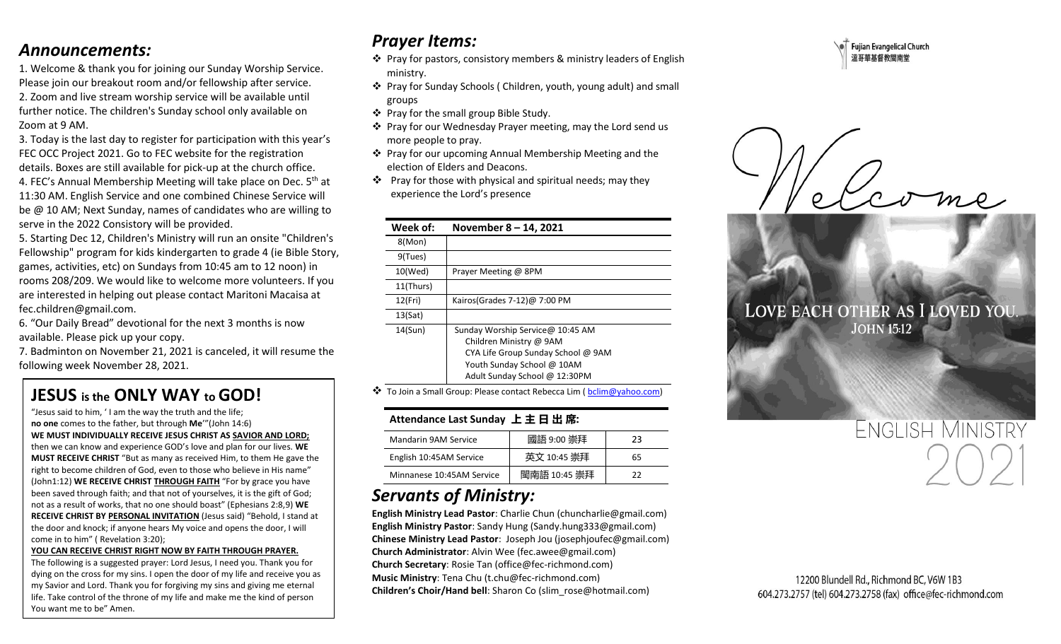## *Announcements:*

1. Welcome & thank you for joining our Sunday Worship Service. Please join our breakout room and/or fellowship after service. 2. Zoom and live stream worship service will be available until further notice. The children's Sunday school only available on Zoom at 9 AM.

3. Today is the last day to register for participation with this year's FEC OCC Project 2021. Go to FEC website for the registration details. Boxes are still available for pick-up at the church office. 4. FEC's Annual Membership Meeting will take place on Dec. 5<sup>th</sup> at 11:30 AM. English Service and one combined Chinese Service will be @ 10 AM; Next Sunday, names of candidates who are willing to serve in the 2022 Consistory will be provided.

5. Starting Dec 12, Children's Ministry will run an onsite "Children's Fellowship" program for kids kindergarten to grade 4 (ie Bible Story, games, activities, etc) on Sundays from 10:45 am to 12 noon) in rooms 208/209. We would like to welcome more volunteers. If you are interested in helping out please contact Maritoni Macaisa at fec.children@gmail.com.

6. "Our Daily Bread" devotional for the next 3 months is now available. Please pick up your copy.

7. Badminton on November 21, 2021 is canceled, it will resume the following week November 28, 2021.

# **JESUS is the ONLY WAY to GOD!**

"Jesus said to him, ' I am the way the truth and the life; **no one** comes to the father, but through **Me**'"(John 14:6) **WE MUST INDIVIDUALLY RECEIVE JESUS CHRIST AS SAVIOR AND LORD;**  then we can know and experience GOD's love and plan for our lives. **WE MUST RECEIVE CHRIST** "But as many as received Him, to them He gave the right to become children of God, even to those who believe in His name" (John1:12) **WE RECEIVE CHRIST THROUGH FAITH** "For by grace you have been saved through faith; and that not of yourselves, it is the gift of God; not as a result of works, that no one should boast" (Ephesians 2:8,9) **WE RECEIVE CHRIST BY PERSONAL INVITATION** (Jesus said) "Behold, I stand at the door and knock; if anyone hears My voice and opens the door, I will come in to him" ( Revelation 3:20);

#### **YOU CAN RECEIVE CHRIST RIGHT NOW BY FAITH THROUGH PRAYER.**

The following is a suggested prayer: Lord Jesus, I need you. Thank you for dying on the cross for my sins. I open the door of my life and receive you as my Savior and Lord. Thank you for forgiving my sins and giving me eternal life. Take control of the throne of my life and make me the kind of person You want me to be" Amen.

## *Prayer Items:*

- ❖ Pray for pastors, consistory members & ministry leaders of English ministry.
- ❖ Pray for Sunday Schools ( Children, youth, young adult) and small groups
- ❖ Pray for the small group Bible Study.
- ❖ Pray for our Wednesday Prayer meeting, may the Lord send us more people to pray.
- ❖ Pray for our upcoming Annual Membership Meeting and the election of Elders and Deacons.
- $\cdot \cdot$  Pray for those with physical and spiritual needs; may they experience the Lord's presence

| Week of:  | November 8 – 14, 2021              |
|-----------|------------------------------------|
| 8(Mon)    |                                    |
| 9(Tues)   |                                    |
| 10(Wed)   | Prayer Meeting @ 8PM               |
| 11(Thurs) |                                    |
| 12(Fri)   | Kairos (Grades $7-12$ ) @ 7:00 PM  |
| 13(Sat)   |                                    |
| 14(Sun)   | Sunday Worship Service@ 10:45 AM   |
|           | Children Ministry @ 9AM            |
|           | CYA Life Group Sunday School @ 9AM |
|           | Youth Sunday School @ 10AM         |
|           | Adult Sunday School @ 12:30PM      |

❖ To Join a Small Group: Please contact Rebecca Lim [\( bclim@yahoo.com\)](mailto:bclim@yahoo.com)

### **Attendance Last Sunday 上 主 日 出 席:**

| Mandarin 9AM Service      | 國語 9:00 崇拜   | 23 |
|---------------------------|--------------|----|
| English 10:45AM Service   | 英文 10:45 崇拜  | 65 |
| Minnanese 10:45AM Service | 閩南語 10:45 崇拜 | 22 |

# *Servants of Ministry:*

**English Ministry Lead Pastor**: Charlie Chun (chuncharlie@gmail.com) **English Ministry Pastor**: Sandy Hung (Sandy.hung333@gmail.com) **Chinese Ministry Lead Pastor**: Joseph Jou (josephjoufec@gmail.com) **Church Administrator**: Alvin Wee (fec.awee@gmail.com) **Church Secretary**: Rosie Tan (office@fec-richmond.com) **Music Ministry**: Tena Chu (t.chu@fec-richmond.com) **Children's Choir/Hand bell**: Sharon Co (slim\_rose@hotmail.com)

## **Fujian Evangelical Church** 溫哥華基督教閩南堂

# LOVE EACH OTHER AS I LOVED YOU. **JOHN 15:12**

# **ENGLISH MINISTRY**

12200 Blundell Rd., Richmond BC, V6W 1B3 604.273.2757 (tel) 604.273.2758 (fax) office@fec-richmond.com